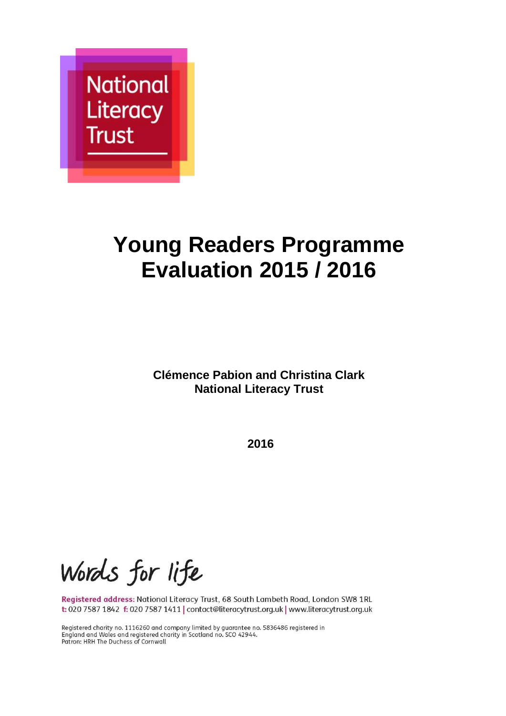

# **Young Readers Programme Evaluation 2015 / 2016**

**Clémence Pabion and Christina Clark National Literacy Trust** 

**2016**

Words for life

Registered address: National Literacy Trust, 68 South Lambeth Road, London SW8 1RL t: 020 7587 1842 f: 020 7587 1411 | contact@literacytrust.org.uk | www.literacytrust.org.uk

Registered charity no. 1116260 and company limited by guarantee no. 5836486 registered in England and Wales and registered charity in Scotland no. SCO 42944. Patron: HRH The Duchess of Cornwall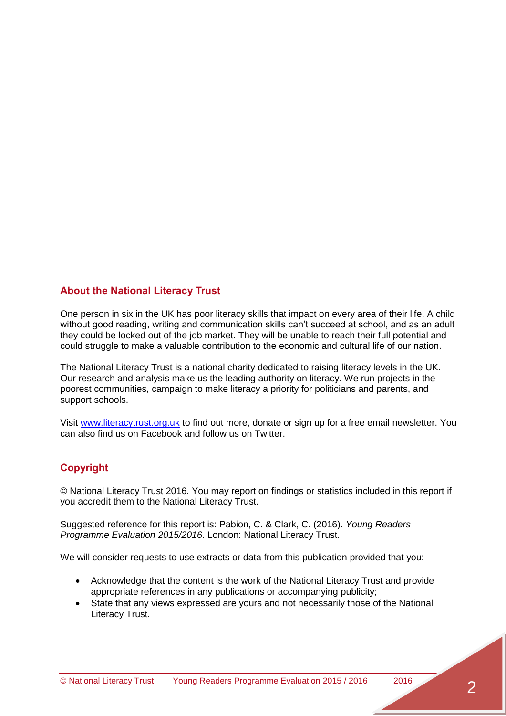#### **About the National Literacy Trust**

One person in six in the UK has poor literacy skills that impact on every area of their life. A child without good reading, writing and communication skills can't succeed at school, and as an adult they could be locked out of the job market. They will be unable to reach their full potential and could struggle to make a valuable contribution to the economic and cultural life of our nation.

The National Literacy Trust is a national charity dedicated to raising literacy levels in the UK. Our research and analysis make us the leading authority on literacy. We run projects in the poorest communities, campaign to make literacy a priority for politicians and parents, and support schools.

Visit [www.literacytrust.org.uk](http://www.literacytrust.org.uk/) to find out more, donate or sign up for a free email newsletter. You can also find us on Facebook and follow us on Twitter.

#### **Copyright**

© National Literacy Trust 2016. You may report on findings or statistics included in this report if you accredit them to the National Literacy Trust.

Suggested reference for this report is: Pabion, C. & Clark, C. (2016). *Young Readers Programme Evaluation 2015/2016*. London: National Literacy Trust.

We will consider requests to use extracts or data from this publication provided that you:

- Acknowledge that the content is the work of the National Literacy Trust and provide appropriate references in any publications or accompanying publicity;
- State that any views expressed are yours and not necessarily those of the National Literacy Trust.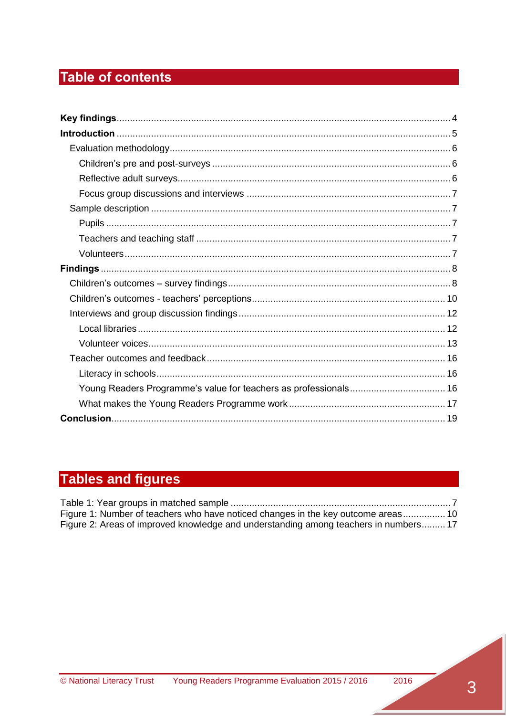## Table of contents

| Young Readers Programme's value for teachers as professionals 16 |  |
|------------------------------------------------------------------|--|
|                                                                  |  |
|                                                                  |  |

## **Tables and figures**

| Figure 1: Number of teachers who have noticed changes in the key outcome areas 10    |  |
|--------------------------------------------------------------------------------------|--|
| Figure 2: Areas of improved knowledge and understanding among teachers in numbers 17 |  |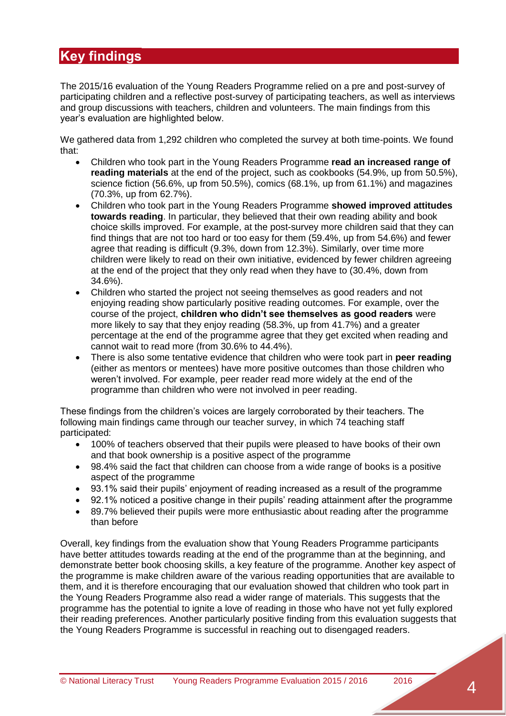## <span id="page-3-0"></span>**Key findings**

The 2015/16 evaluation of the Young Readers Programme relied on a pre and post-survey of participating children and a reflective post-survey of participating teachers, as well as interviews and group discussions with teachers, children and volunteers. The main findings from this year's evaluation are highlighted below.

We gathered data from 1,292 children who completed the survey at both time-points. We found that:

- Children who took part in the Young Readers Programme **read an increased range of reading materials** at the end of the project, such as cookbooks (54.9%, up from 50.5%), science fiction (56.6%, up from 50.5%), comics (68.1%, up from 61.1%) and magazines (70.3%, up from 62.7%).
- Children who took part in the Young Readers Programme **showed improved attitudes towards reading**. In particular, they believed that their own reading ability and book choice skills improved. For example, at the post-survey more children said that they can find things that are not too hard or too easy for them (59.4%, up from 54.6%) and fewer agree that reading is difficult (9.3%, down from 12.3%). Similarly, over time more children were likely to read on their own initiative, evidenced by fewer children agreeing at the end of the project that they only read when they have to (30.4%, down from 34.6%).
- Children who started the project not seeing themselves as good readers and not enjoying reading show particularly positive reading outcomes. For example, over the course of the project, **children who didn't see themselves as good readers** were more likely to say that they enjoy reading (58.3%, up from 41.7%) and a greater percentage at the end of the programme agree that they get excited when reading and cannot wait to read more (from 30.6% to 44.4%).
- There is also some tentative evidence that children who were took part in **peer reading** (either as mentors or mentees) have more positive outcomes than those children who weren't involved. For example, peer reader read more widely at the end of the programme than children who were not involved in peer reading.

These findings from the children's voices are largely corroborated by their teachers. The following main findings came through our teacher survey, in which 74 teaching staff participated:

- 100% of teachers observed that their pupils were pleased to have books of their own and that book ownership is a positive aspect of the programme
- 98.4% said the fact that children can choose from a wide range of books is a positive aspect of the programme
- 93.1% said their pupils' enjoyment of reading increased as a result of the programme
- 92.1% noticed a positive change in their pupils' reading attainment after the programme
- 89.7% believed their pupils were more enthusiastic about reading after the programme than before

Overall, key findings from the evaluation show that Young Readers Programme participants have better attitudes towards reading at the end of the programme than at the beginning, and demonstrate better book choosing skills, a key feature of the programme. Another key aspect of the programme is make children aware of the various reading opportunities that are available to them, and it is therefore encouraging that our evaluation showed that children who took part in the Young Readers Programme also read a wider range of materials. This suggests that the programme has the potential to ignite a love of reading in those who have not yet fully explored their reading preferences. Another particularly positive finding from this evaluation suggests that the Young Readers Programme is successful in reaching out to disengaged readers.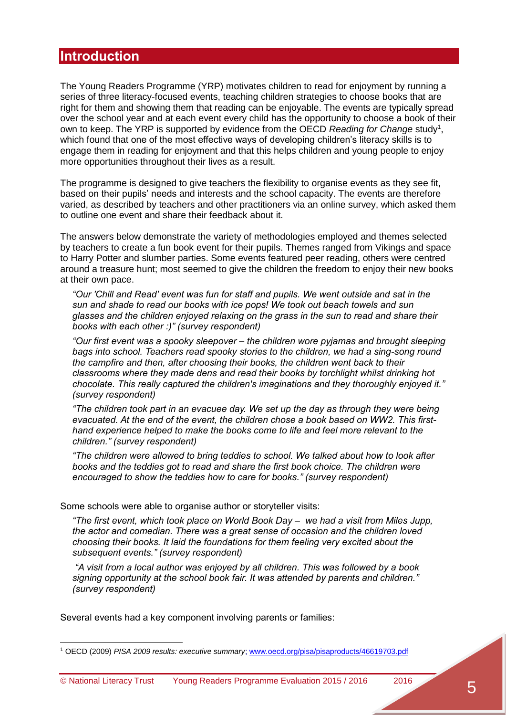### <span id="page-4-0"></span>**Introduction**

The Young Readers Programme (YRP) motivates children to read for enjoyment by running a series of three literacy-focused events, teaching children strategies to choose books that are right for them and showing them that reading can be enjoyable. The events are typically spread over the school year and at each event every child has the opportunity to choose a book of their own to keep. The YRP is supported by evidence from the OECD *Reading for Change* study<sup>1</sup>, which found that one of the most effective ways of developing children's literacy skills is to engage them in reading for enjoyment and that this helps children and young people to enjoy more opportunities throughout their lives as a result.

The programme is designed to give teachers the flexibility to organise events as they see fit, based on their pupils' needs and interests and the school capacity. The events are therefore varied, as described by teachers and other practitioners via an online survey, which asked them to outline one event and share their feedback about it.

The answers below demonstrate the variety of methodologies employed and themes selected by teachers to create a fun book event for their pupils. Themes ranged from Vikings and space to Harry Potter and slumber parties. Some events featured peer reading, others were centred around a treasure hunt; most seemed to give the children the freedom to enjoy their new books at their own pace.

*"Our 'Chill and Read' event was fun for staff and pupils. We went outside and sat in the sun and shade to read our books with ice pops! We took out beach towels and sun glasses and the children enjoyed relaxing on the grass in the sun to read and share their books with each other :)" (survey respondent)*

*"Our first event was a spooky sleepover – the children wore pyjamas and brought sleeping bags into school. Teachers read spooky stories to the children, we had a sing-song round the campfire and then, after choosing their books, the children went back to their classrooms where they made dens and read their books by torchlight whilst drinking hot chocolate. This really captured the children's imaginations and they thoroughly enjoyed it." (survey respondent)*

*"The children took part in an evacuee day. We set up the day as through they were being evacuated. At the end of the event, the children chose a book based on WW2. This firsthand experience helped to make the books come to life and feel more relevant to the children." (survey respondent)*

*"The children were allowed to bring teddies to school. We talked about how to look after books and the teddies got to read and share the first book choice. The children were encouraged to show the teddies how to care for books." (survey respondent)*

Some schools were able to organise author or storyteller visits:

*"The first event, which took place on World Book Day – we had a visit from Miles Jupp, the actor and comedian. There was a great sense of occasion and the children loved choosing their books. It laid the foundations for them feeling very excited about the subsequent events." (survey respondent)*

*"A visit from a local author was enjoyed by all children. This was followed by a book signing opportunity at the school book fair. It was attended by parents and children." (survey respondent)*

Several events had a key component involving parents or families:

 $\overline{a}$ 

<sup>1</sup> OECD (2009) *PISA 2009 results: executive summary*[; www.oecd.org/pisa/pisaproducts/46619703.pdf](http://www.oecd.org/pisa/pisaproducts/46619703.pdf)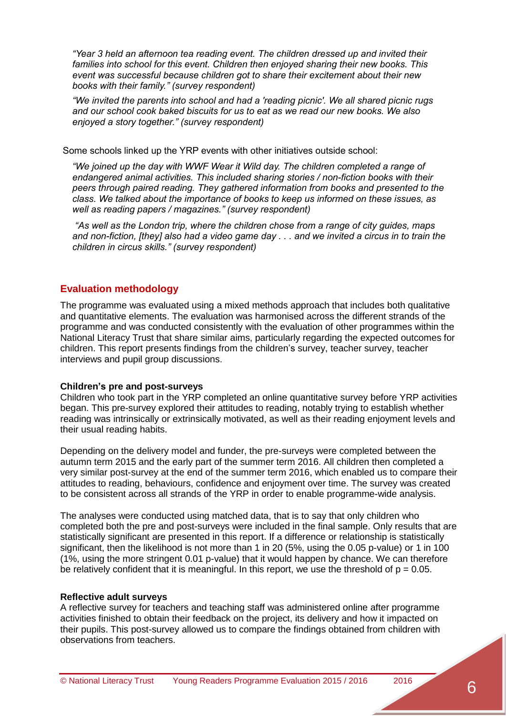*"Year 3 held an afternoon tea reading event. The children dressed up and invited their families into school for this event. Children then enjoyed sharing their new books. This event was successful because children got to share their excitement about their new books with their family." (survey respondent)*

*"We invited the parents into school and had a 'reading picnic'. We all shared picnic rugs and our school cook baked biscuits for us to eat as we read our new books. We also enjoyed a story together." (survey respondent)*

Some schools linked up the YRP events with other initiatives outside school:

*"We joined up the day with WWF Wear it Wild day. The children completed a range of endangered animal activities. This included sharing stories / non-fiction books with their peers through paired reading. They gathered information from books and presented to the class. We talked about the importance of books to keep us informed on these issues, as well as reading papers / magazines." (survey respondent)*

*"As well as the London trip, where the children chose from a range of city guides, maps and non-fiction, [they] also had a video game day . . . and we invited a circus in to train the children in circus skills." (survey respondent)*

#### <span id="page-5-0"></span>**Evaluation methodology**

The programme was evaluated using a mixed methods approach that includes both qualitative and quantitative elements. The evaluation was harmonised across the different strands of the programme and was conducted consistently with the evaluation of other programmes within the National Literacy Trust that share similar aims, particularly regarding the expected outcomes for children. This report presents findings from the children's survey, teacher survey, teacher interviews and pupil group discussions.

#### <span id="page-5-1"></span>**Children's pre and post-surveys**

Children who took part in the YRP completed an online quantitative survey before YRP activities began. This pre-survey explored their attitudes to reading, notably trying to establish whether reading was intrinsically or extrinsically motivated, as well as their reading enjoyment levels and their usual reading habits.

Depending on the delivery model and funder, the pre-surveys were completed between the autumn term 2015 and the early part of the summer term 2016. All children then completed a very similar post-survey at the end of the summer term 2016, which enabled us to compare their attitudes to reading, behaviours, confidence and enjoyment over time. The survey was created to be consistent across all strands of the YRP in order to enable programme-wide analysis.

The analyses were conducted using matched data, that is to say that only children who completed both the pre and post-surveys were included in the final sample. Only results that are statistically significant are presented in this report. If a difference or relationship is statistically significant, then the likelihood is not more than 1 in 20 (5%, using the 0.05 p-value) or 1 in 100 (1%, using the more stringent 0.01 p-value) that it would happen by chance. We can therefore be relatively confident that it is meaningful. In this report, we use the threshold of  $p = 0.05$ .

#### <span id="page-5-2"></span>**Reflective adult surveys**

A reflective survey for teachers and teaching staff was administered online after programme activities finished to obtain their feedback on the project, its delivery and how it impacted on their pupils. This post-survey allowed us to compare the findings obtained from children with observations from teachers.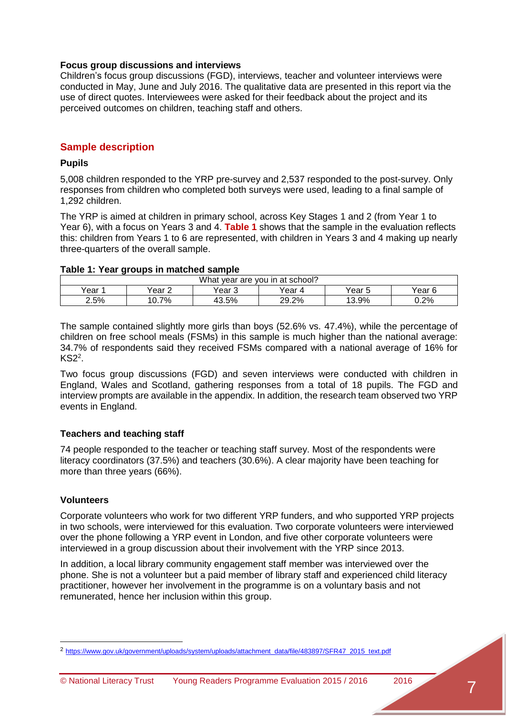#### <span id="page-6-0"></span>**Focus group discussions and interviews**

Children's focus group discussions (FGD), interviews, teacher and volunteer interviews were conducted in May, June and July 2016. The qualitative data are presented in this report via the use of direct quotes. Interviewees were asked for their feedback about the project and its perceived outcomes on children, teaching staff and others.

#### <span id="page-6-1"></span>**Sample description**

#### <span id="page-6-2"></span>**Pupils**

5,008 children responded to the YRP pre-survey and 2,537 responded to the post-survey. Only responses from children who completed both surveys were used, leading to a final sample of 1,292 children.

The YRP is aimed at children in primary school, across Key Stages 1 and 2 (from Year 1 to Year 6), with a focus on Years 3 and 4. **Table 1** shows that the sample in the evaluation reflects this: children from Years 1 to 6 are represented, with children in Years 3 and 4 making up nearly three-quarters of the overall sample.

#### <span id="page-6-5"></span>**Table 1: Year groups in matched sample**

| What<br>year are you in at school? |           |        |        |        |         |  |  |
|------------------------------------|-----------|--------|--------|--------|---------|--|--|
| Year :                             | ear 2     | Year 3 | Year 4 | Year 5 | Year 6  |  |  |
| 2.5%                               | 7%<br>◡.≀ | 43.5%  | 29.2%  | 13.9%  | $0.2\%$ |  |  |

The sample contained slightly more girls than boys (52.6% vs. 47.4%), while the percentage of children on free school meals (FSMs) in this sample is much higher than the national average: 34.7% of respondents said they received FSMs compared with a national average of 16% for  $KS2<sup>2</sup>$ .

Two focus group discussions (FGD) and seven interviews were conducted with children in England, Wales and Scotland, gathering responses from a total of 18 pupils. The FGD and interview prompts are available in the appendix. In addition, the research team observed two YRP events in England.

#### <span id="page-6-3"></span>**Teachers and teaching staff**

74 people responded to the teacher or teaching staff survey. Most of the respondents were literacy coordinators (37.5%) and teachers (30.6%). A clear majority have been teaching for more than three years (66%).

#### <span id="page-6-4"></span>**Volunteers**

Corporate volunteers who work for two different YRP funders, and who supported YRP projects in two schools, were interviewed for this evaluation. Two corporate volunteers were interviewed over the phone following a YRP event in London, and five other corporate volunteers were interviewed in a group discussion about their involvement with the YRP since 2013.

In addition, a local library community engagement staff member was interviewed over the phone. She is not a volunteer but a paid member of library staff and experienced child literacy practitioner, however her involvement in the programme is on a voluntary basis and not remunerated, hence her inclusion within this group.

<sup>2</sup> [https://www.gov.uk/government/uploads/system/uploads/attachment\\_data/file/483897/SFR47\\_2015\\_text.pdf](https://www.gov.uk/government/uploads/system/uploads/attachment_data/file/483897/SFR47_2015_text.pdf)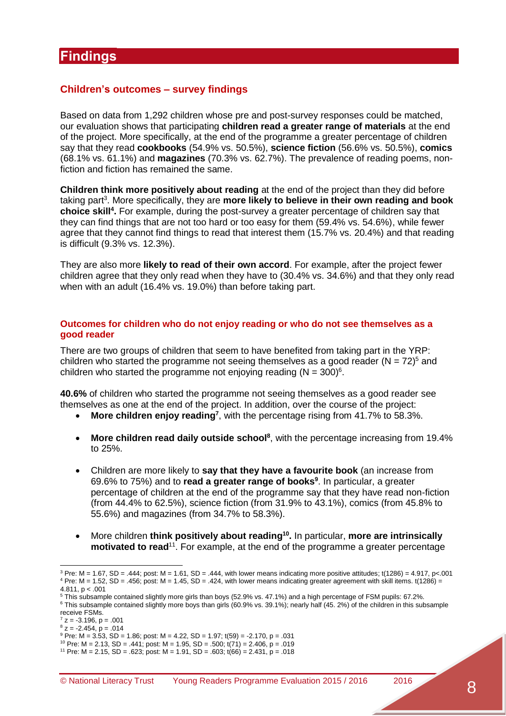#### <span id="page-7-1"></span><span id="page-7-0"></span>**Children's outcomes – survey findings**

Based on data from 1,292 children whose pre and post-survey responses could be matched, our evaluation shows that participating **children read a greater range of materials** at the end of the project. More specifically, at the end of the programme a greater percentage of children say that they read **cookbooks** (54.9% vs. 50.5%), **science fiction** (56.6% vs. 50.5%), **comics** (68.1% vs. 61.1%) and **magazines** (70.3% vs. 62.7%). The prevalence of reading poems, nonfiction and fiction has remained the same.

**Children think more positively about reading** at the end of the project than they did before taking part<sup>3</sup>. More specifically, they are more likely to believe in their own reading and book **choice skill<sup>4</sup> .** For example, during the post-survey a greater percentage of children say that they can find things that are not too hard or too easy for them (59.4% vs. 54.6%), while fewer agree that they cannot find things to read that interest them (15.7% vs. 20.4%) and that reading is difficult (9.3% vs. 12.3%).

They are also more **likely to read of their own accord**. For example, after the project fewer children agree that they only read when they have to (30.4% vs. 34.6%) and that they only read when with an adult (16.4% vs. 19.0%) than before taking part.

#### **Outcomes for children who do not enjoy reading or who do not see themselves as a good reader**

There are two groups of children that seem to have benefited from taking part in the YRP: children who started the programme not seeing themselves as a good reader ( $N = 72$ )<sup>5</sup> and children who started the programme not enjoying reading  $(N = 300)^6$ .

**40.6%** of children who started the programme not seeing themselves as a good reader see themselves as one at the end of the project. In addition, over the course of the project:

- **More children enjoy reading<sup>7</sup>** , with the percentage rising from 41.7% to 58.3%.
- More children read daily outside school<sup>8</sup>, with the percentage increasing from 19.4% to 25%.
- Children are more likely to **say that they have a favourite book** (an increase from 69.6% to 75%) and to **read a greater range of books<sup>9</sup>** . In particular, a greater percentage of children at the end of the programme say that they have read non-fiction (from 44.4% to 62.5%), science fiction (from 31.9% to 43.1%), comics (from 45.8% to 55.6%) and magazines (from 34.7% to 58.3%).
- More children **think positively about reading<sup>10</sup> .** In particular, **more are intrinsically motivated to read**<sup>11</sup>. For example, at the end of the programme a greater percentage

 $\overline{a}$ 

<sup>&</sup>lt;sup>3</sup> Pre: M = 1.67, SD = .444; post: M = 1.61, SD = .444, with lower means indicating more positive attitudes; t(1286) = 4.917, p<.001  $4$  Pre: M = 1.52, SD = .456; post: M = 1.45, SD = .424, with lower means indicating greater agreement with skill items. t(1286) = 4.811,  $p < .001$ 

<sup>5</sup> This subsample contained slightly more girls than boys (52.9% vs. 47.1%) and a high percentage of FSM pupils: 67.2%.

<sup>&</sup>lt;sup>6</sup> This subsample contained slightly more boys than girls (60.9% vs. 39.1%); nearly half (45. 2%) of the children in this subsample receive FSMs.

 $7 z = -3.196$ , p = .001

 $8\bar{z} = -2.454, p = .014$ 

 $9$  Pre: M = 3.53, SD = 1.86; post: M = 4.22, SD = 1.97; t(59) = -2.170, p = .031

<sup>&</sup>lt;sup>10</sup> Pre: M = 2.13, SD = .441; post: M = 1.95, SD = .500; t(71) = 2.406, p = .019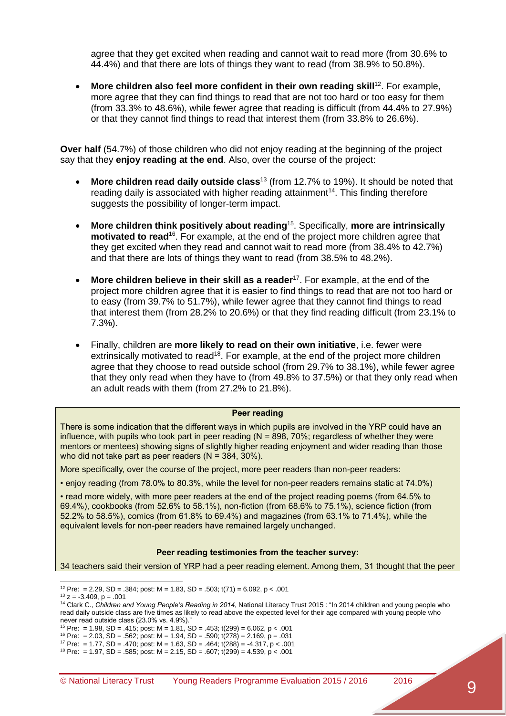agree that they get excited when reading and cannot wait to read more (from 30.6% to 44.4%) and that there are lots of things they want to read (from 38.9% to 50.8%).

 **More children also feel more confident in their own reading skill**<sup>12</sup>. For example, more agree that they can find things to read that are not too hard or too easy for them (from 33.3% to 48.6%), while fewer agree that reading is difficult (from 44.4% to 27.9%) or that they cannot find things to read that interest them (from 33.8% to 26.6%).

**Over half** (54.7%) of those children who did not enjoy reading at the beginning of the project say that they **enjoy reading at the end**. Also, over the course of the project:

- **More children read daily outside class<sup>13</sup> (from 12.7% to 19%). It should be noted that** reading daily is associated with higher reading attainment<sup>14</sup>. This finding therefore suggests the possibility of longer-term impact.
- **More children think positively about reading**<sup>15</sup> . Specifically, **more are intrinsically motivated to read**<sup>16</sup>. For example, at the end of the project more children agree that they get excited when they read and cannot wait to read more (from 38.4% to 42.7%) and that there are lots of things they want to read (from 38.5% to 48.2%).
- **More children believe in their skill as a reader<sup>17</sup>. For example, at the end of the** project more children agree that it is easier to find things to read that are not too hard or to easy (from 39.7% to 51.7%), while fewer agree that they cannot find things to read that interest them (from 28.2% to 20.6%) or that they find reading difficult (from 23.1% to 7.3%).
- Finally, children are **more likely to read on their own initiative**, i.e. fewer were extrinsically motivated to read<sup>18</sup>. For example, at the end of the project more children agree that they choose to read outside school (from 29.7% to 38.1%), while fewer agree that they only read when they have to (from 49.8% to 37.5%) or that they only read when an adult reads with them (from 27.2% to 21.8%).

#### **Peer reading**

There is some indication that the different ways in which pupils are involved in the YRP could have an influence, with pupils who took part in peer reading  $(N = 898, 70\%$ ; regardless of whether they were mentors or mentees) showing signs of slightly higher reading enjoyment and wider reading than those who did not take part as peer readers  $(N = 384, 30\%)$ .

More specifically, over the course of the project, more peer readers than non-peer readers:

• enjoy reading (from 78.0% to 80.3%, while the level for non-peer readers remains static at 74.0%)

• read more widely, with more peer readers at the end of the project reading poems (from 64.5% to 69.4%), cookbooks (from 52.6% to 58.1%), non-fiction (from 68.6% to 75.1%), science fiction (from 52.2% to 58.5%), comics (from 61.8% to 69.4%) and magazines (from 63.1% to 71.4%), while the equivalent levels for non-peer readers have remained largely unchanged.

#### **Peer reading testimonies from the teacher survey:**

34 teachers said their version of YRP had a peer reading element. Among them, 31 thought that the peer

 $\overline{a}$ <sup>12</sup> Pre: = 2.29, SD = .384; post: M = 1.83, SD = .503; t(71) = 6.092, p < .001

 $13$  z =  $-3.409$ , p =  $.001$ 

<sup>14</sup> Clark C., *Children and Young People's Reading in 2014*, National Literacy Trust 2015 : "In 2014 children and young people who read daily outside class are five times as likely to read above the expected level for their age compared with young people who never read outside class (23.0% vs. 4.9%)."

<sup>&</sup>lt;sup>15</sup> Pre: = 1.98, SD = .415; post: M = 1.81, SD = .453; t(299) = 6.062, p < .001

<sup>&</sup>lt;sup>16</sup> Pre: = 2.03, SD = .562; post: M = 1.94, SD = .590; t(278) = 2.169, p = .031

<sup>&</sup>lt;sup>17</sup> Pre: = 1.77, SD = .470; post: M = 1.63, SD = .464; t(288) = -4.317, p < .001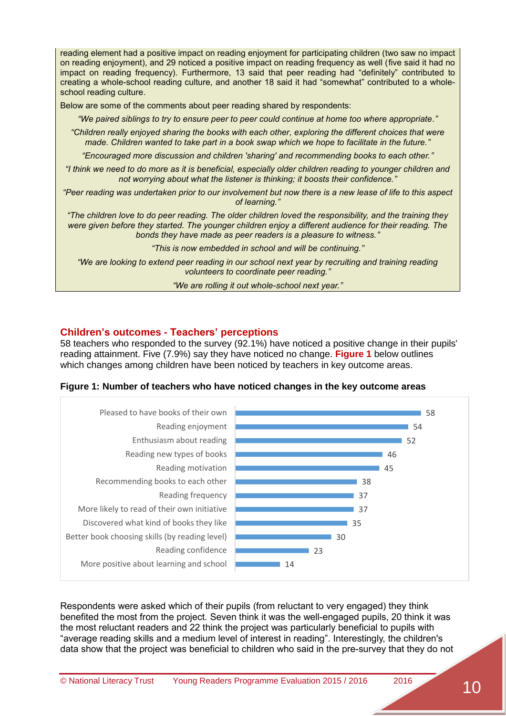reading element had a positive impact on reading enjoyment for participating children (two saw no impact on reading enjoyment), and 29 noticed a positive impact on reading frequency as well (five said it had no impact on reading frequency). Furthermore, 13 said that peer reading had "definitely" contributed to creating a whole-school reading culture, and another 18 said it had "somewhat" contributed to a wholeschool reading culture.

Below are some of the comments about peer reading shared by respondents:

*"We paired siblings to try to ensure peer to peer could continue at home too where appropriate."*

*"Children really enjoyed sharing the books with each other, exploring the different choices that were made. Children wanted to take part in a book swap which we hope to facilitate in the future."*

*"Encouraged more discussion and children 'sharing' and recommending books to each other."*

*"I think we need to do more as it is beneficial, especially older children reading to younger children and not worrying about what the listener is thinking; it boosts their confidence."*

*"Peer reading was undertaken prior to our involvement but now there is a new lease of life to this aspect of learning."*

*"The children love to do peer reading. The older children loved the responsibility, and the training they were given before they started. The younger children enjoy a different audience for their reading. The bonds they have made as peer readers is a pleasure to witness."*

*"This is now embedded in school and will be continuing."*

*"We are looking to extend peer reading in our school next year by recruiting and training reading volunteers to coordinate peer reading."*

*"We are rolling it out whole-school next year."*

#### <span id="page-9-0"></span>**Children's outcomes - Teachers' perceptions**

58 teachers who responded to the survey (92.1%) have noticed a positive change in their pupils' reading attainment. Five (7.9%) say they have noticed no change. **Figure 1** below outlines which changes among children have been noticed by teachers in key outcome areas.

<span id="page-9-1"></span>**Figure 1: Number of teachers who have noticed changes in the key outcome areas**



Respondents were asked which of their pupils (from reluctant to very engaged) they think benefited the most from the project. Seven think it was the well-engaged pupils, 20 think it was the most reluctant readers and 22 think the project was particularly beneficial to pupils with "average reading skills and a medium level of interest in reading". Interestingly, the children's data show that the project was beneficial to children who said in the pre-survey that they do not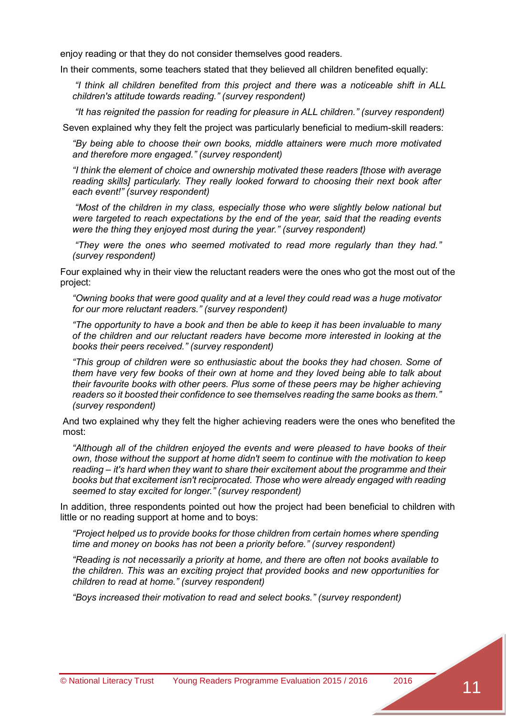enjoy reading or that they do not consider themselves good readers.

In their comments, some teachers stated that they believed all children benefited equally:

*"I think all children benefited from this project and there was a noticeable shift in ALL children's attitude towards reading." (survey respondent)*

*"It has reignited the passion for reading for pleasure in ALL children." (survey respondent)*

Seven explained why they felt the project was particularly beneficial to medium-skill readers:

*"By being able to choose their own books, middle attainers were much more motivated and therefore more engaged." (survey respondent)*

*"I think the element of choice and ownership motivated these readers [those with average reading skills] particularly. They really looked forward to choosing their next book after each event!" (survey respondent)*

*"Most of the children in my class, especially those who were slightly below national but were targeted to reach expectations by the end of the year, said that the reading events were the thing they enjoyed most during the year." (survey respondent)*

*"They were the ones who seemed motivated to read more regularly than they had." (survey respondent)*

Four explained why in their view the reluctant readers were the ones who got the most out of the project:

*"Owning books that were good quality and at a level they could read was a huge motivator for our more reluctant readers." (survey respondent)*

*"The opportunity to have a book and then be able to keep it has been invaluable to many of the children and our reluctant readers have become more interested in looking at the books their peers received." (survey respondent)*

*"This group of children were so enthusiastic about the books they had chosen. Some of them have very few books of their own at home and they loved being able to talk about their favourite books with other peers. Plus some of these peers may be higher achieving readers so it boosted their confidence to see themselves reading the same books as them." (survey respondent)*

And two explained why they felt the higher achieving readers were the ones who benefited the most:

*"Although all of the children enjoyed the events and were pleased to have books of their own, those without the support at home didn't seem to continue with the motivation to keep reading – it's hard when they want to share their excitement about the programme and their books but that excitement isn't reciprocated. Those who were already engaged with reading seemed to stay excited for longer." (survey respondent)*

In addition, three respondents pointed out how the project had been beneficial to children with little or no reading support at home and to boys:

*"Project helped us to provide books for those children from certain homes where spending time and money on books has not been a priority before." (survey respondent)*

*"Reading is not necessarily a priority at home, and there are often not books available to the children. This was an exciting project that provided books and new opportunities for children to read at home." (survey respondent)*

*"Boys increased their motivation to read and select books." (survey respondent)*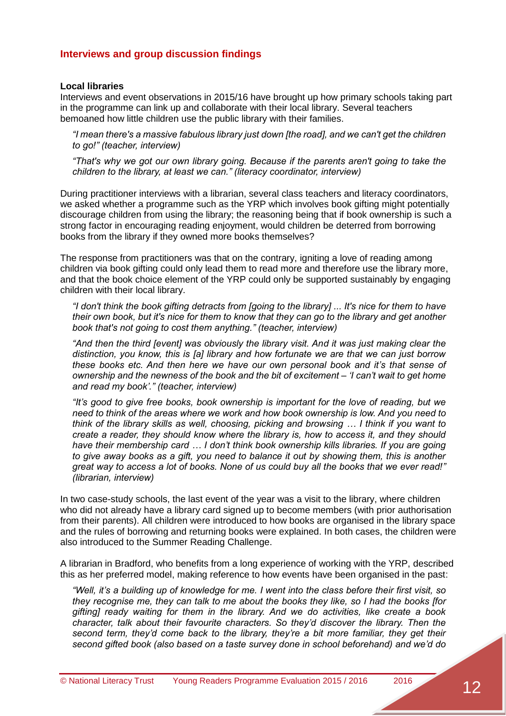#### <span id="page-11-0"></span>**Interviews and group discussion findings**

#### <span id="page-11-1"></span>**Local libraries**

Interviews and event observations in 2015/16 have brought up how primary schools taking part in the programme can link up and collaborate with their local library. Several teachers bemoaned how little children use the public library with their families.

*"I mean there's a massive fabulous library just down [the road], and we can't get the children to go!" (teacher, interview)*

*"That's why we got our own library going. Because if the parents aren't going to take the children to the library, at least we can." (literacy coordinator, interview)*

During practitioner interviews with a librarian, several class teachers and literacy coordinators, we asked whether a programme such as the YRP which involves book gifting might potentially discourage children from using the library; the reasoning being that if book ownership is such a strong factor in encouraging reading enjoyment, would children be deterred from borrowing books from the library if they owned more books themselves?

The response from practitioners was that on the contrary, igniting a love of reading among children via book gifting could only lead them to read more and therefore use the library more, and that the book choice element of the YRP could only be supported sustainably by engaging children with their local library.

*"I don't think the book gifting detracts from [going to the library] ... It's nice for them to have their own book, but it's nice for them to know that they can go to the library and get another book that's not going to cost them anything." (teacher, interview)*

*"And then the third [event] was obviously the library visit. And it was just making clear the distinction, you know, this is [a] library and how fortunate we are that we can just borrow these books etc. And then here we have our own personal book and it's that sense of ownership and the newness of the book and the bit of excitement – 'I can't wait to get home and read my book'." (teacher, interview)*

*"It's good to give free books, book ownership is important for the love of reading, but we need to think of the areas where we work and how book ownership is low. And you need to think of the library skills as well, choosing, picking and browsing … I think if you want to create a reader, they should know where the library is, how to access it, and they should have their membership card … I don't think book ownership kills libraries. If you are going to give away books as a gift, you need to balance it out by showing them, this is another great way to access a lot of books. None of us could buy all the books that we ever read!" (librarian, interview)*

In two case-study schools, the last event of the year was a visit to the library, where children who did not already have a library card signed up to become members (with prior authorisation from their parents). All children were introduced to how books are organised in the library space and the rules of borrowing and returning books were explained. In both cases, the children were also introduced to the Summer Reading Challenge.

A librarian in Bradford, who benefits from a long experience of working with the YRP, described this as her preferred model, making reference to how events have been organised in the past:

*"Well, it's a building up of knowledge for me. I went into the class before their first visit, so they recognise me, they can talk to me about the books they like, so I had the books [for gifting] ready waiting for them in the library. And we do activities, like create a book character, talk about their favourite characters. So they'd discover the library. Then the second term, they'd come back to the library, they're a bit more familiar, they get their second gifted book (also based on a taste survey done in school beforehand) and we'd do*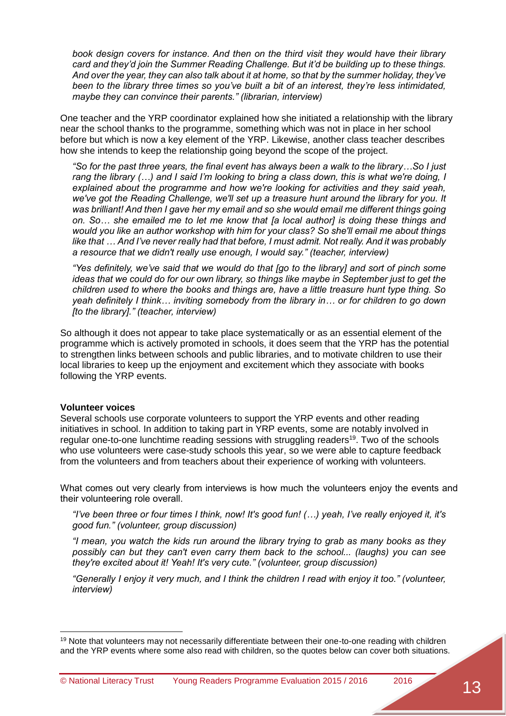*book design covers for instance. And then on the third visit they would have their library card and they'd join the Summer Reading Challenge. But it'd be building up to these things. And over the year, they can also talk about it at home, so that by the summer holiday, they've been to the library three times so you've built a bit of an interest, they're less intimidated, maybe they can convince their parents." (librarian, interview)*

One teacher and the YRP coordinator explained how she initiated a relationship with the library near the school thanks to the programme, something which was not in place in her school before but which is now a key element of the YRP. Likewise, another class teacher describes how she intends to keep the relationship going beyond the scope of the project.

*"So for the past three years, the final event has always been a walk to the library…So I just rang the library (…) and I said I'm looking to bring a class down, this is what we're doing, I explained about the programme and how we're looking for activities and they said yeah, we've got the Reading Challenge, we'll set up a treasure hunt around the library for you. It was brilliant! And then I gave her my email and so she would email me different things going on. So… she emailed me to let me know that [a local author] is doing these things and would you like an author workshop with him for your class? So she'll email me about things like that … And I've never really had that before, I must admit. Not really. And it was probably a resource that we didn't really use enough, I would say." (teacher, interview)*

*"Yes definitely, we've said that we would do that [go to the library] and sort of pinch some ideas that we could do for our own library, so things like maybe in September just to get the children used to where the books and things are, have a little treasure hunt type thing. So yeah definitely I think… inviting somebody from the library in… or for children to go down [to the library]." (teacher, interview)*

So although it does not appear to take place systematically or as an essential element of the programme which is actively promoted in schools, it does seem that the YRP has the potential to strengthen links between schools and public libraries, and to motivate children to use their local libraries to keep up the enjoyment and excitement which they associate with books following the YRP events.

#### <span id="page-12-0"></span>**Volunteer voices**

Several schools use corporate volunteers to support the YRP events and other reading initiatives in school. In addition to taking part in YRP events, some are notably involved in regular one-to-one lunchtime reading sessions with struggling readers<sup>19</sup>. Two of the schools who use volunteers were case-study schools this year, so we were able to capture feedback from the volunteers and from teachers about their experience of working with volunteers.

What comes out very clearly from interviews is how much the volunteers enjoy the events and their volunteering role overall.

*"I've been three or four times I think, now! It's good fun! (…) yeah, I've really enjoyed it, it's good fun." (volunteer, group discussion)*

*"I mean, you watch the kids run around the library trying to grab as many books as they possibly can but they can't even carry them back to the school... (laughs) you can see they're excited about it! Yeah! It's very cute." (volunteer, group discussion)*

*"Generally I enjoy it very much, and I think the children I read with enjoy it too." (volunteer, interview)*

<sup>&</sup>lt;sup>19</sup> Note that volunteers may not necessarily differentiate between their one-to-one reading with children and the YRP events where some also read with children, so the quotes below can cover both situations.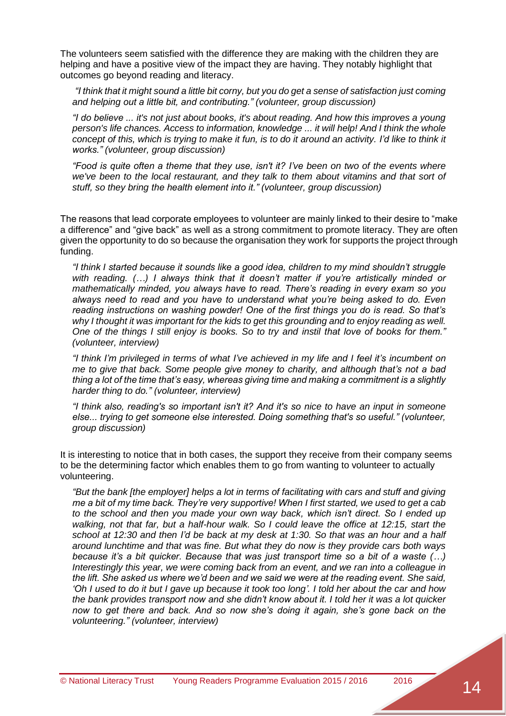The volunteers seem satisfied with the difference they are making with the children they are helping and have a positive view of the impact they are having. They notably highlight that outcomes go beyond reading and literacy.

*"I think that it might sound a little bit corny, but you do get a sense of satisfaction just coming and helping out a little bit, and contributing." (volunteer, group discussion)*

*"I do believe ... it's not just about books, it's about reading. And how this improves a young person's life chances. Access to information, knowledge ... it will help! And I think the whole concept of this, which is trying to make it fun, is to do it around an activity. I'd like to think it works." (volunteer, group discussion)*

*"Food is quite often a theme that they use, isn't it? I've been on two of the events where we've been to the local restaurant, and they talk to them about vitamins and that sort of stuff, so they bring the health element into it." (volunteer, group discussion)*

The reasons that lead corporate employees to volunteer are mainly linked to their desire to "make a difference" and "give back" as well as a strong commitment to promote literacy. They are often given the opportunity to do so because the organisation they work for supports the project through funding.

*"I think I started because it sounds like a good idea, children to my mind shouldn't struggle with reading. (…) I always think that it doesn't matter if you're artistically minded or mathematically minded, you always have to read. There's reading in every exam so you always need to read and you have to understand what you're being asked to do. Even reading instructions on washing powder! One of the first things you do is read. So that's why I thought it was important for the kids to get this grounding and to enjoy reading as well. One of the things I still enjoy is books. So to try and instil that love of books for them." (volunteer, interview)*

*"I think I'm privileged in terms of what I've achieved in my life and I feel it's incumbent on me to give that back. Some people give money to charity, and although that's not a bad thing a lot of the time that's easy, whereas giving time and making a commitment is a slightly harder thing to do." (volunteer, interview)*

*"I think also, reading's so important isn't it? And it's so nice to have an input in someone else... trying to get someone else interested. Doing something that's so useful." (volunteer, group discussion)*

It is interesting to notice that in both cases, the support they receive from their company seems to be the determining factor which enables them to go from wanting to volunteer to actually volunteering.

*"But the bank [the employer] helps a lot in terms of facilitating with cars and stuff and giving me a bit of my time back. They're very supportive! When I first started, we used to get a cab to the school and then you made your own way back, which isn't direct. So I ended up walking, not that far, but a half-hour walk. So I could leave the office at 12:15, start the school at 12:30 and then I'd be back at my desk at 1:30. So that was an hour and a half around lunchtime and that was fine. But what they do now is they provide cars both ways because it's a bit quicker. Because that was just transport time so a bit of a waste (…) Interestingly this year, we were coming back from an event, and we ran into a colleague in the lift. She asked us where we'd been and we said we were at the reading event. She said, 'Oh I used to do it but I gave up because it took too long'. I told her about the car and how the bank provides transport now and she didn't know about it. I told her it was a lot quicker now to get there and back. And so now she's doing it again, she's gone back on the volunteering." (volunteer, interview)*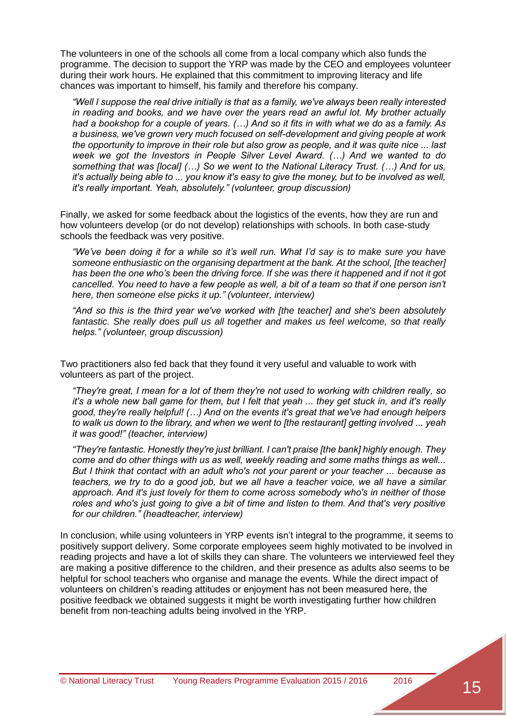The volunteers in one of the schools all come from a local company which also funds the programme. The decision to support the YRP was made by the CEO and employees volunteer during their work hours. He explained that this commitment to improving literacy and life chances was important to himself, his family and therefore his company.

*"Well I suppose the real drive initially is that as a family, we've always been really interested in reading and books, and we have over the years read an awful lot. My brother actually had a bookshop for a couple of years. (…) And so it fits in with what we do as a family. As a business, we've grown very much focused on self-development and giving people at work the opportunity to improve in their role but also grow as people, and it was quite nice ... last week we got the Investors in People Silver Level Award. (…) And we wanted to do something that was [local] (…) So we went to the National Literacy Trust. (…) And for us, it's actually being able to ... you know it's easy to give the money, but to be involved as well, it's really important. Yeah, absolutely." (volunteer, group discussion)*

Finally, we asked for some feedback about the logistics of the events, how they are run and how volunteers develop (or do not develop) relationships with schools. In both case-study schools the feedback was very positive.

*"We've been doing it for a while so it's well run. What I'd say is to make sure you have someone enthusiastic on the organising department at the bank. At the school, [the teacher] has been the one who's been the driving force. If she was there it happened and if not it got cancelled. You need to have a few people as well, a bit of a team so that if one person isn't here, then someone else picks it up." (volunteer, interview)*

*"And so this is the third year we've worked with [the teacher] and she's been absolutely*  fantastic. She really does pull us all together and makes us feel welcome, so that really *helps." (volunteer, group discussion)*

Two practitioners also fed back that they found it very useful and valuable to work with volunteers as part of the project.

*"They're great, I mean for a lot of them they're not used to working with children really, so it's a whole new ball game for them, but I felt that yeah ... they get stuck in, and it's really good, they're really helpful! (…) And on the events it's great that we've had enough helpers to walk us down to the library, and when we went to [the restaurant] getting involved ... yeah it was good!" (teacher, interview)*

*"They're fantastic. Honestly they're just brilliant. I can't praise [the bank] highly enough. They come and do other things with us as well, weekly reading and some maths things as well... But I think that contact with an adult who's not your parent or your teacher ... because as teachers, we try to do a good job, but we all have a teacher voice, we all have a similar approach. And it's just lovely for them to come across somebody who's in neither of those roles and who's just going to give a bit of time and listen to them. And that's very positive for our children." (headteacher, interview)*

In conclusion, while using volunteers in YRP events isn't integral to the programme, it seems to positively support delivery. Some corporate employees seem highly motivated to be involved in reading projects and have a lot of skills they can share. The volunteers we interviewed feel they are making a positive difference to the children, and their presence as adults also seems to be helpful for school teachers who organise and manage the events. While the direct impact of volunteers on children's reading attitudes or enjoyment has not been measured here, the positive feedback we obtained suggests it might be worth investigating further how children benefit from non-teaching adults being involved in the YRP.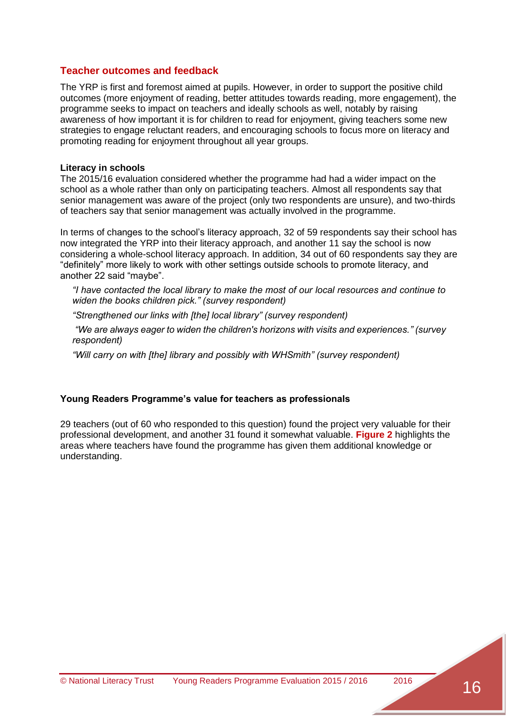#### <span id="page-15-0"></span>**Teacher outcomes and feedback**

The YRP is first and foremost aimed at pupils. However, in order to support the positive child outcomes (more enjoyment of reading, better attitudes towards reading, more engagement), the programme seeks to impact on teachers and ideally schools as well, notably by raising awareness of how important it is for children to read for enjoyment, giving teachers some new strategies to engage reluctant readers, and encouraging schools to focus more on literacy and promoting reading for enjoyment throughout all year groups.

#### <span id="page-15-1"></span>**Literacy in schools**

The 2015/16 evaluation considered whether the programme had had a wider impact on the school as a whole rather than only on participating teachers. Almost all respondents say that senior management was aware of the project (only two respondents are unsure), and two-thirds of teachers say that senior management was actually involved in the programme.

In terms of changes to the school's literacy approach, 32 of 59 respondents say their school has now integrated the YRP into their literacy approach, and another 11 say the school is now considering a whole-school literacy approach. In addition, 34 out of 60 respondents say they are "definitely" more likely to work with other settings outside schools to promote literacy, and another 22 said "maybe".

*"I have contacted the local library to make the most of our local resources and continue to widen the books children pick." (survey respondent)*

*"Strengthened our links with [the] local library" (survey respondent)*

*"We are always eager to widen the children's horizons with visits and experiences." (survey respondent)*

*"Will carry on with [the] library and possibly with WHSmith" (survey respondent)*

#### <span id="page-15-2"></span>**Young Readers Programme's value for teachers as professionals**

29 teachers (out of 60 who responded to this question) found the project very valuable for their professional development, and another 31 found it somewhat valuable. **Figure 2** highlights the areas where teachers have found the programme has given them additional knowledge or understanding.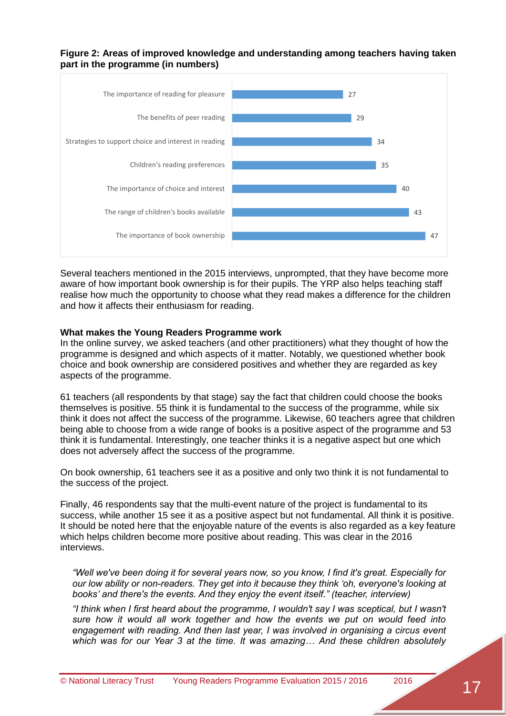#### <span id="page-16-1"></span>**Figure 2: Areas of improved knowledge and understanding among teachers having taken part in the programme (in numbers)**



Several teachers mentioned in the 2015 interviews, unprompted, that they have become more aware of how important book ownership is for their pupils. The YRP also helps teaching staff realise how much the opportunity to choose what they read makes a difference for the children and how it affects their enthusiasm for reading.

#### <span id="page-16-0"></span>**What makes the Young Readers Programme work**

In the online survey, we asked teachers (and other practitioners) what they thought of how the programme is designed and which aspects of it matter. Notably, we questioned whether book choice and book ownership are considered positives and whether they are regarded as key aspects of the programme.

61 teachers (all respondents by that stage) say the fact that children could choose the books themselves is positive. 55 think it is fundamental to the success of the programme, while six think it does not affect the success of the programme. Likewise, 60 teachers agree that children being able to choose from a wide range of books is a positive aspect of the programme and 53 think it is fundamental. Interestingly, one teacher thinks it is a negative aspect but one which does not adversely affect the success of the programme.

On book ownership, 61 teachers see it as a positive and only two think it is not fundamental to the success of the project.

Finally, 46 respondents say that the multi-event nature of the project is fundamental to its success, while another 15 see it as a positive aspect but not fundamental. All think it is positive. It should be noted here that the enjoyable nature of the events is also regarded as a key feature which helps children become more positive about reading. This was clear in the 2016 interviews.

*"Well we've been doing it for several years now, so you know, I find it's great. Especially for our low ability or non-readers. They get into it because they think 'oh, everyone's looking at books' and there's the events. And they enjoy the event itself." (teacher, interview)*

*"I think when I first heard about the programme, I wouldn't say I was sceptical, but I wasn't sure how it would all work together and how the events we put on would feed into engagement with reading. And then last year, I was involved in organising a circus event which was for our Year 3 at the time. It was amazing… And these children absolutely*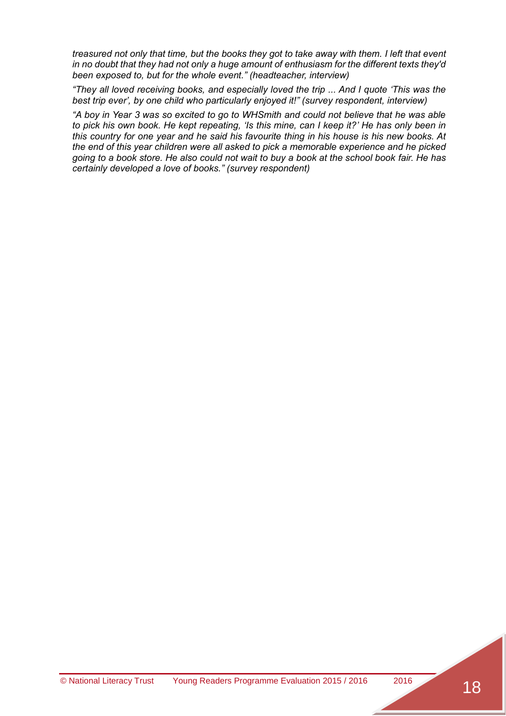*treasured not only that time, but the books they got to take away with them. I left that event in no doubt that they had not only a huge amount of enthusiasm for the different texts they'd been exposed to, but for the whole event." (headteacher, interview)*

*"They all loved receiving books, and especially loved the trip ... And I quote 'This was the best trip ever', by one child who particularly enjoyed it!" (survey respondent, interview)*

<span id="page-17-0"></span>*"A boy in Year 3 was so excited to go to WHSmith and could not believe that he was able to pick his own book. He kept repeating, 'Is this mine, can I keep it?' He has only been in this country for one year and he said his favourite thing in his house is his new books. At the end of this year children were all asked to pick a memorable experience and he picked going to a book store. He also could not wait to buy a book at the school book fair. He has certainly developed a love of books." (survey respondent)*